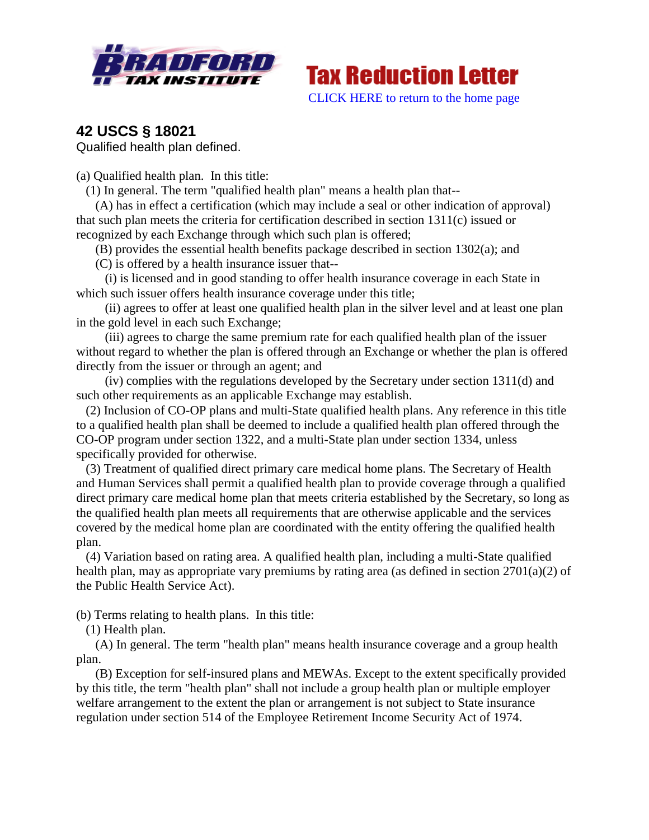



**42 USCS § 18021** Qualified health plan defined.

(a) Qualified health plan. In this title:

(1) In general. The term "qualified health plan" means a health plan that--

 (A) has in effect a certification (which may include a seal or other indication of approval) that such plan meets the criteria for certification described in section 1311(c) issued or recognized by each Exchange through which such plan is offered;

(B) provides the essential health benefits package described in section 1302(a); and

(C) is offered by a health insurance issuer that--

 (i) is licensed and in good standing to offer health insurance coverage in each State in which such issuer offers health insurance coverage under this title;

 (ii) agrees to offer at least one qualified health plan in the silver level and at least one plan in the gold level in each such Exchange;

 (iii) agrees to charge the same premium rate for each qualified health plan of the issuer without regard to whether the plan is offered through an Exchange or whether the plan is offered directly from the issuer or through an agent; and

 (iv) complies with the regulations developed by the Secretary under section 1311(d) and such other requirements as an applicable Exchange may establish.

 (2) Inclusion of CO-OP plans and multi-State qualified health plans. Any reference in this title to a qualified health plan shall be deemed to include a qualified health plan offered through the CO-OP program under section 1322, and a multi-State plan under section 1334, unless specifically provided for otherwise.

 (3) Treatment of qualified direct primary care medical home plans. The Secretary of Health and Human Services shall permit a qualified health plan to provide coverage through a qualified direct primary care medical home plan that meets criteria established by the Secretary, so long as the qualified health plan meets all requirements that are otherwise applicable and the services covered by the medical home plan are coordinated with the entity offering the qualified health plan.

 (4) Variation based on rating area. A qualified health plan, including a multi-State qualified health plan, may as appropriate vary premiums by rating area (as defined in section 2701(a)(2) of the Public Health Service Act).

(b) Terms relating to health plans. In this title:

(1) Health plan.

 (A) In general. The term "health plan" means health insurance coverage and a group health plan.

 (B) Exception for self-insured plans and MEWAs. Except to the extent specifically provided by this title, the term "health plan" shall not include a group health plan or multiple employer welfare arrangement to the extent the plan or arrangement is not subject to State insurance regulation under section 514 of the Employee Retirement Income Security Act of 1974.